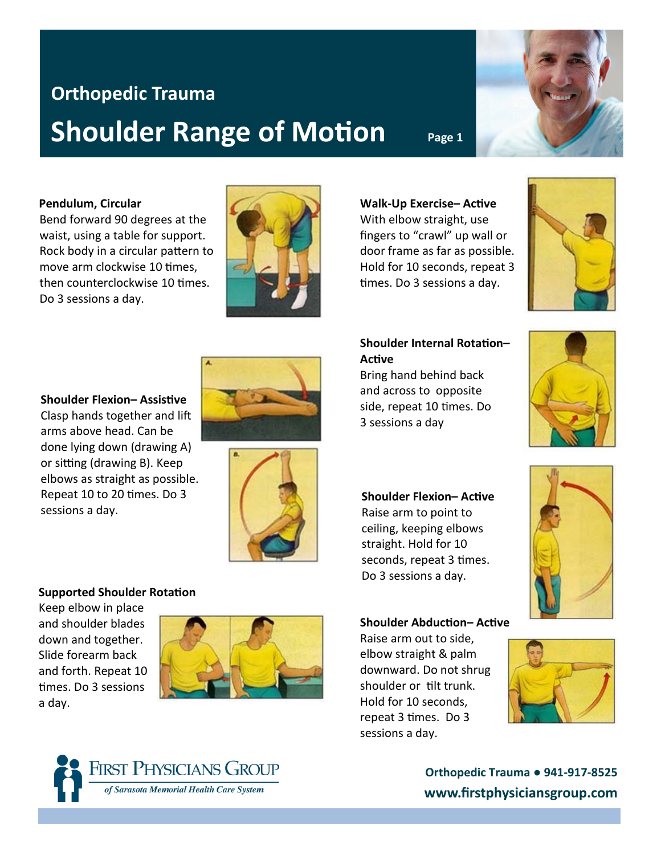# **Orthopedic Trauma Shoulder Range of Motion** Page 1

### **Pendulum, Circular**

Bend forward 90 degrees at the waist, using a table for support. Rock body in a circular pattern to move arm clockwise 10 times, then counterclockwise 10 times. Do 3 sessions a day.



**Walk-Up Exercise– Active** With elbow straight, use fingers to "crawl" up wall or door frame as far as possible. Hold for 10 seconds, repeat 3 times. Do 3 sessions a day.

## **Shoulder Internal Rotation– Active**

Bring hand behind back and across to opposite side, repeat 10 times. Do 3 sessions a day



### **Shoulder Flexion– Active**

Raise arm to point to ceiling, keeping elbows straight. Hold for 10 seconds, repeat 3 times. Do 3 sessions a day.



### **Shoulder Abduction– Active**

Raise arm out to side, elbow straight & palm downward. Do not shrug shoulder or tilt trunk. Hold for 10 seconds, repeat 3 times. Do 3 sessions a day.





# **Orthopedic Trauma ● 941-917-8525 www.firstphysiciansgroup.com**

**Shoulder Flexion– Assistive** Clasp hands together and lift arms above head. Can be done lying down (drawing A) or sitting (drawing B). Keep elbows as straight as possible. Repeat 10 to 20 times. Do 3 sessions a day.

## **Supported Shoulder Rotation**

Keep elbow in place and shoulder blades down and together. Slide forearm back and forth. Repeat 10 times. Do 3 sessions a day.